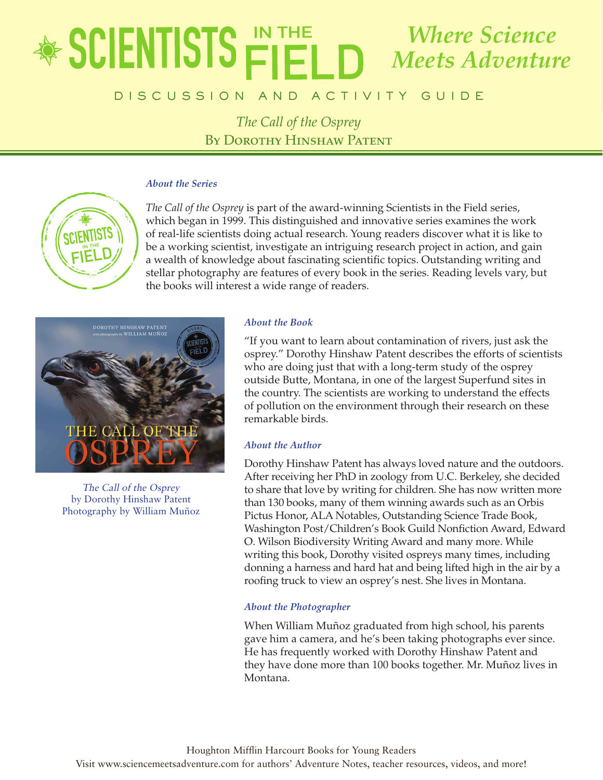# e de un c a t o r ' s G u i d e vol a t o r ' s G u i d e vol a t o r ' s G u i d e vol a t o r ' s G u i d e *The Call of the Osprey Where Science Meets Adventure*

# **DISCUSSION AND ACTIVITY GUIDE**

*The Call of the Osprey* BY DOROTHY HINSHAW PATENT

#### *About the Series*



*The Call of the Osprey* is part of the award-winning Scientists in the Field series, which began in 1999. This distinguished and innovative series examines the work of real-life scientists doing actual research. Young readers discover what it is like to be a working scientist, investigate an intriguing research project in action, and gain a wealth of knowledge about fascinating scientific topics. Outstanding writing and stellar photography are features of every book in the series. Reading levels vary, but the books will interest a wide range of readers.



The Call of the Osprey by Dorothy Hinshaw Patent Photography by William Muñoz

# *About the Book*

"If you want to learn about contamination of rivers, just ask the osprey." Dorothy Hinshaw Patent describes the efforts of scientists who are doing just that with a long-term study of the osprey outside Butte, Montana, in one of the largest Superfund sites in the country. The scientists are working to understand the effects of pollution on the environment through their research on these remarkable birds.

# *About the Author*

Dorothy Hinshaw Patent has always loved nature and the outdoors. After receiving her PhD in zoology from U.C. Berkeley, she decided to share that love by writing for children. She has now written more than 130 books, many of them winning awards such as an Orbis Pictus Honor, ALA Notables, Outstanding Science Trade Book, Washington Post/Children's Book Guild Nonfiction Award, Edward O. Wilson Biodiversity Writing Award and many more. While writing this book, Dorothy visited ospreys many times, including donning a harness and hard hat and being lifted high in the air by a roofing truck to view an osprey's nest. She lives in Montana.

### *About the Photographer*

When William Muñoz graduated from high school, his parents gave him a camera, and he's been taking photographs ever since. He has frequently worked with Dorothy Hinshaw Patent and they have done more than 100 books together. Mr. Muñoz lives in Montana.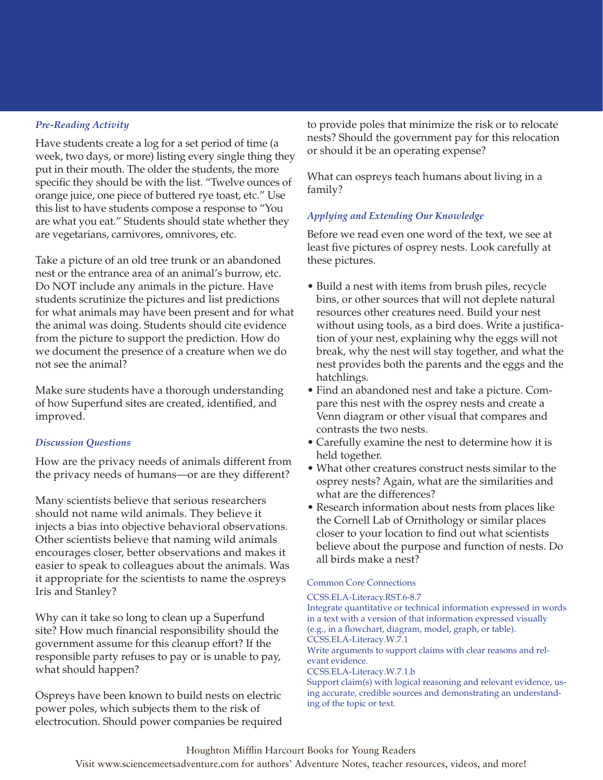# *Pre-Reading Activity*

Have students create a log for a set period of time (a week, two days, or more) listing every single thing they put in their mouth. The older the students, the more specific they should be with the list. "Twelve ounces of orange juice, one piece of buttered rye toast, etc." Use this list to have students compose a response to "You are what you eat." Students should state whether they are vegetarians, carnivores, omnivores, etc.

Take a picture of an old tree trunk or an abandoned nest or the entrance area of an animal's burrow, etc. Do NOT include any animals in the picture. Have students scrutinize the pictures and list predictions for what animals may have been present and for what the animal was doing. Students should cite evidence from the picture to support the prediction. How do we document the presence of a creature when we do not see the animal?

Make sure students have a thorough understanding of how Superfund sites are created, identified, and improved.

### *Discussion Questions*

How are the privacy needs of animals different from the privacy needs of humans—or are they different?

Many scientists believe that serious researchers should not name wild animals. They believe it injects a bias into objective behavioral observations. Other scientists believe that naming wild animals encourages closer, better observations and makes it easier to speak to colleagues about the animals. Was it appropriate for the scientists to name the ospreys Iris and Stanley?

Why can it take so long to clean up a Superfund site? How much financial responsibility should the government assume for this cleanup effort? If the responsible party refuses to pay or is unable to pay, what should happen?

Ospreys have been known to build nests on electric power poles, which subjects them to the risk of electrocution. Should power companies be required to provide poles that minimize the risk or to relocate nests? Should the government pay for this relocation or should it be an operating expense?

What can ospreys teach humans about living in a family?

### *Applying and Extending Our Knowledge*

Before we read even one word of the text, we see at least five pictures of osprey nests. Look carefully at these pictures.

- Build a nest with items from brush piles, recycle bins, or other sources that will not deplete natural resources other creatures need. Build your nest without using tools, as a bird does. Write a justification of your nest, explaining why the eggs will not break, why the nest will stay together, and what the nest provides both the parents and the eggs and the hatchlings.
- Find an abandoned nest and take a picture. Compare this nest with the osprey nests and create a Venn diagram or other visual that compares and contrasts the two nests.
- Carefully examine the nest to determine how it is held together.
- What other creatures construct nests similar to the osprey nests? Again, what are the similarities and what are the differences?
- Research information about nests from places like the Cornell Lab of Ornithology or similar places closer to your location to find out what scientists believe about the purpose and function of nests. Do all birds make a nest?

#### Common Core Connections

#### CCSS.ELA-Literacy.RST.6-8.7

Integrate quantitative or technical information expressed in words in a text with a version of that information expressed visually (e.g., in a flowchart, diagram, model, graph, or table). CCSS.ELA-Literacy.W.7.1 Write arguments to support claims with clear reasons and relevant evidence. CCSS.ELA-Literacy.W.7.1.b

Support claim(s) with logical reasoning and relevant evidence, using accurate, credible sources and demonstrating an understanding of the topic or text.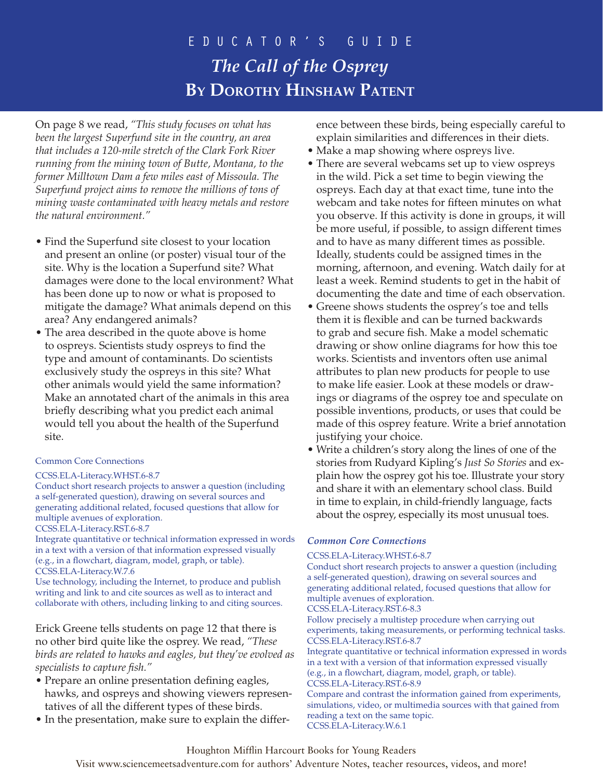# e d u c a t o r ' s G u i d e *The Call of the Osprey* **By Dorothy Hinshaw Patent**

On page 8 we read, *"This study focuses on what has been the largest Superfund site in the country, an area that includes a 120-mile stretch of the Clark Fork River running from the mining town of Butte, Montana, to the former Milltown Dam a few miles east of Missoula. The Superfund project aims to remove the millions of tons of mining waste contaminated with heavy metals and restore the natural environment."*

- Find the Superfund site closest to your location and present an online (or poster) visual tour of the site. Why is the location a Superfund site? What damages were done to the local environment? What has been done up to now or what is proposed to mitigate the damage? What animals depend on this area? Any endangered animals?
- The area described in the quote above is home to ospreys. Scientists study ospreys to find the type and amount of contaminants. Do scientists exclusively study the ospreys in this site? What other animals would yield the same information? Make an annotated chart of the animals in this area briefly describing what you predict each animal would tell you about the health of the Superfund site.

#### Common Core Connections

#### CCSS.ELA-Literacy.WHST.6-8.7

Conduct short research projects to answer a question (including a self-generated question), drawing on several sources and generating additional related, focused questions that allow for multiple avenues of exploration. CCSS.ELA-Literacy.RST.6-8.7

Integrate quantitative or technical information expressed in words in a text with a version of that information expressed visually (e.g., in a flowchart, diagram, model, graph, or table). CCSS.ELA-Literacy.W.7.6

Use technology, including the Internet, to produce and publish writing and link to and cite sources as well as to interact and collaborate with others, including linking to and citing sources.

Erick Greene tells students on page 12 that there is no other bird quite like the osprey. We read, *"These birds are related to hawks and eagles, but they've evolved as specialists to capture fish."*

- Prepare an online presentation defining eagles, hawks, and ospreys and showing viewers representatives of all the different types of these birds.
- In the presentation, make sure to explain the differ-

ence between these birds, being especially careful to explain similarities and differences in their diets.

- Make a map showing where ospreys live.
- There are several webcams set up to view ospreys in the wild. Pick a set time to begin viewing the ospreys. Each day at that exact time, tune into the webcam and take notes for fifteen minutes on what you observe. If this activity is done in groups, it will be more useful, if possible, to assign different times and to have as many different times as possible. Ideally, students could be assigned times in the morning, afternoon, and evening. Watch daily for at least a week. Remind students to get in the habit of documenting the date and time of each observation.
- Greene shows students the osprey's toe and tells them it is flexible and can be turned backwards to grab and secure fish. Make a model schematic drawing or show online diagrams for how this toe works. Scientists and inventors often use animal attributes to plan new products for people to use to make life easier. Look at these models or drawings or diagrams of the osprey toe and speculate on possible inventions, products, or uses that could be made of this osprey feature. Write a brief annotation justifying your choice.
- Write a children's story along the lines of one of the stories from Rudyard Kipling's *Just So Stories* and explain how the osprey got his toe. Illustrate your story and share it with an elementary school class. Build in time to explain, in child-friendly language, facts about the osprey, especially its most unusual toes.

### *Common Core Connections*

#### CCSS.ELA-Literacy.WHST.6-8.7

Conduct short research projects to answer a question (including a self-generated question), drawing on several sources and generating additional related, focused questions that allow for multiple avenues of exploration.

CCSS.ELA-Literacy.RST.6-8.3

Follow precisely a multistep procedure when carrying out experiments, taking measurements, or performing technical tasks. CCSS.ELA-Literacy.RST.6-8.7

Integrate quantitative or technical information expressed in words in a text with a version of that information expressed visually (e.g., in a flowchart, diagram, model, graph, or table). CCSS.ELA-Literacy.RST.6-8.9

Compare and contrast the information gained from experiments, simulations, video, or multimedia sources with that gained from reading a text on the same topic. CCSS.ELA-Literacy.W.6.1

# Houghton Mifflin Harcourt Books for Young Readers

Visit www.sciencemeetsadventure.com for authors' Adventure Notes, teacher resources, videos, and more!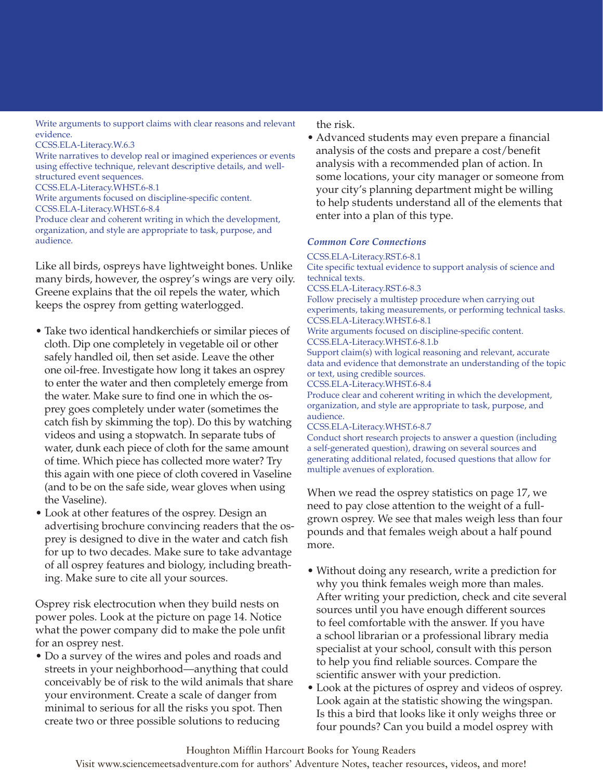Write arguments to support claims with clear reasons and relevant evidence.

CCSS.ELA-Literacy.W.6.3

Write narratives to develop real or imagined experiences or events using effective technique, relevant descriptive details, and wellstructured event sequences.

CCSS.ELA-Literacy.WHST.6-8.1

Write arguments focused on discipline-specific content.

CCSS.ELA-Literacy.WHST.6-8.4

Produce clear and coherent writing in which the development, organization, and style are appropriate to task, purpose, and audience.

Like all birds, ospreys have lightweight bones. Unlike many birds, however, the osprey's wings are very oily. Greene explains that the oil repels the water, which keeps the osprey from getting waterlogged.

- Take two identical handkerchiefs or similar pieces of cloth. Dip one completely in vegetable oil or other safely handled oil, then set aside. Leave the other one oil-free. Investigate how long it takes an osprey to enter the water and then completely emerge from the water. Make sure to find one in which the osprey goes completely under water (sometimes the catch fish by skimming the top). Do this by watching videos and using a stopwatch. In separate tubs of water, dunk each piece of cloth for the same amount of time. Which piece has collected more water? Try this again with one piece of cloth covered in Vaseline (and to be on the safe side, wear gloves when using the Vaseline).
- Look at other features of the osprey. Design an advertising brochure convincing readers that the osprey is designed to dive in the water and catch fish for up to two decades. Make sure to take advantage of all osprey features and biology, including breathing. Make sure to cite all your sources.

Osprey risk electrocution when they build nests on power poles. Look at the picture on page 14. Notice what the power company did to make the pole unfit for an osprey nest.

• Do a survey of the wires and poles and roads and streets in your neighborhood—anything that could conceivably be of risk to the wild animals that share your environment. Create a scale of danger from minimal to serious for all the risks you spot. Then create two or three possible solutions to reducing

the risk.

• Advanced students may even prepare a financial analysis of the costs and prepare a cost/benefit analysis with a recommended plan of action. In some locations, your city manager or someone from your city's planning department might be willing to help students understand all of the elements that enter into a plan of this type.

# *Common Core Connections*

#### CCSS.ELA-Literacy.RST.6-8.1 Cite specific textual evidence to support analysis of science and technical texts. CCSS.ELA-Literacy.RST.6-8.3 Follow precisely a multistep procedure when carrying out experiments, taking measurements, or performing technical tasks. CCSS.ELA-Literacy.WHST.6-8.1 Write arguments focused on discipline-specific content.

CCSS.ELA-Literacy.WHST.6-8.1.b

Support claim(s) with logical reasoning and relevant, accurate data and evidence that demonstrate an understanding of the topic or text, using credible sources.

CCSS.ELA-Literacy.WHST.6-8.4

Produce clear and coherent writing in which the development, organization, and style are appropriate to task, purpose, and audience.

CCSS.ELA-Literacy.WHST.6-8.7

Conduct short research projects to answer a question (including a self-generated question), drawing on several sources and generating additional related, focused questions that allow for multiple avenues of exploration.

When we read the osprey statistics on page 17, we need to pay close attention to the weight of a fullgrown osprey. We see that males weigh less than four pounds and that females weigh about a half pound more.

- Without doing any research, write a prediction for why you think females weigh more than males. After writing your prediction, check and cite several sources until you have enough different sources to feel comfortable with the answer. If you have a school librarian or a professional library media specialist at your school, consult with this person to help you find reliable sources. Compare the scientific answer with your prediction.
- Look at the pictures of osprey and videos of osprey. Look again at the statistic showing the wingspan. Is this a bird that looks like it only weighs three or four pounds? Can you build a model osprey with

Visit www.sciencemeetsadventure.com for authors' Adventure Notes, teacher resources, videos, and more!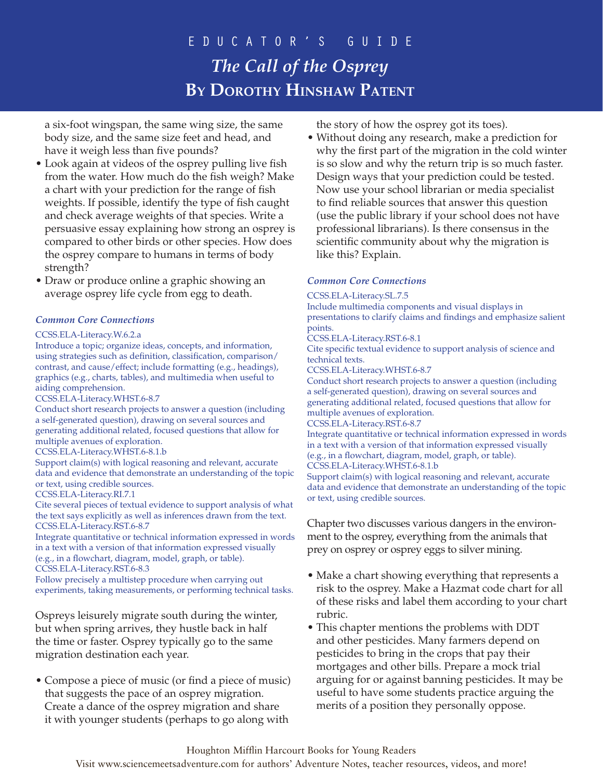# e d u c a t o r ' s G u i d e *The Call of the Osprey* **By Dorothy Hinshaw Patent**

a six-foot wingspan, the same wing size, the same body size, and the same size feet and head, and have it weigh less than five pounds?

- Look again at videos of the osprey pulling live fish from the water. How much do the fish weigh? Make a chart with your prediction for the range of fish weights. If possible, identify the type of fish caught and check average weights of that species. Write a persuasive essay explaining how strong an osprey is compared to other birds or other species. How does the osprey compare to humans in terms of body strength?
- Draw or produce online a graphic showing an average osprey life cycle from egg to death.

#### *Common Core Connections*

#### CCSS.ELA-Literacy.W.6.2.a

Introduce a topic; organize ideas, concepts, and information, using strategies such as definition, classification, comparison/ contrast, and cause/effect; include formatting (e.g., headings), graphics (e.g., charts, tables), and multimedia when useful to aiding comprehension.

CCSS.ELA-Literacy.WHST.6-8.7

Conduct short research projects to answer a question (including a self-generated question), drawing on several sources and generating additional related, focused questions that allow for multiple avenues of exploration.

#### CCSS.ELA-Literacy.WHST.6-8.1.b

Support claim(s) with logical reasoning and relevant, accurate data and evidence that demonstrate an understanding of the topic or text, using credible sources.

#### CCSS.ELA-Literacy.RI.7.1

Cite several pieces of textual evidence to support analysis of what the text says explicitly as well as inferences drawn from the text. CCSS.ELA-Literacy.RST.6-8.7

Integrate quantitative or technical information expressed in words in a text with a version of that information expressed visually (e.g., in a flowchart, diagram, model, graph, or table). CCSS.ELA-Literacy.RST.6-8.3

Follow precisely a multistep procedure when carrying out experiments, taking measurements, or performing technical tasks.

Ospreys leisurely migrate south during the winter, but when spring arrives, they hustle back in half the time or faster. Osprey typically go to the same migration destination each year.

• Compose a piece of music (or find a piece of music) that suggests the pace of an osprey migration. Create a dance of the osprey migration and share it with younger students (perhaps to go along with

the story of how the osprey got its toes).

• Without doing any research, make a prediction for why the first part of the migration in the cold winter is so slow and why the return trip is so much faster. Design ways that your prediction could be tested. Now use your school librarian or media specialist to find reliable sources that answer this question (use the public library if your school does not have professional librarians). Is there consensus in the scientific community about why the migration is like this? Explain.

#### *Common Core Connections*

#### CCSS.ELA-Literacy.SL.7.5

Include multimedia components and visual displays in presentations to clarify claims and findings and emphasize salient points.

CCSS.ELA-Literacy.RST.6-8.1

Cite specific textual evidence to support analysis of science and technical texts.

CCSS.ELA-Literacy.WHST.6-8.7

Conduct short research projects to answer a question (including a self-generated question), drawing on several sources and generating additional related, focused questions that allow for multiple avenues of exploration.

CCSS.ELA-Literacy.RST.6-8.7

Integrate quantitative or technical information expressed in words in a text with a version of that information expressed visually (e.g., in a flowchart, diagram, model, graph, or table). CCSS.ELA-Literacy.WHST.6-8.1.b

Support claim(s) with logical reasoning and relevant, accurate data and evidence that demonstrate an understanding of the topic or text, using credible sources.

Chapter two discusses various dangers in the environment to the osprey, everything from the animals that prey on osprey or osprey eggs to silver mining.

- Make a chart showing everything that represents a risk to the osprey. Make a Hazmat code chart for all of these risks and label them according to your chart rubric.
- This chapter mentions the problems with DDT and other pesticides. Many farmers depend on pesticides to bring in the crops that pay their mortgages and other bills. Prepare a mock trial arguing for or against banning pesticides. It may be useful to have some students practice arguing the merits of a position they personally oppose.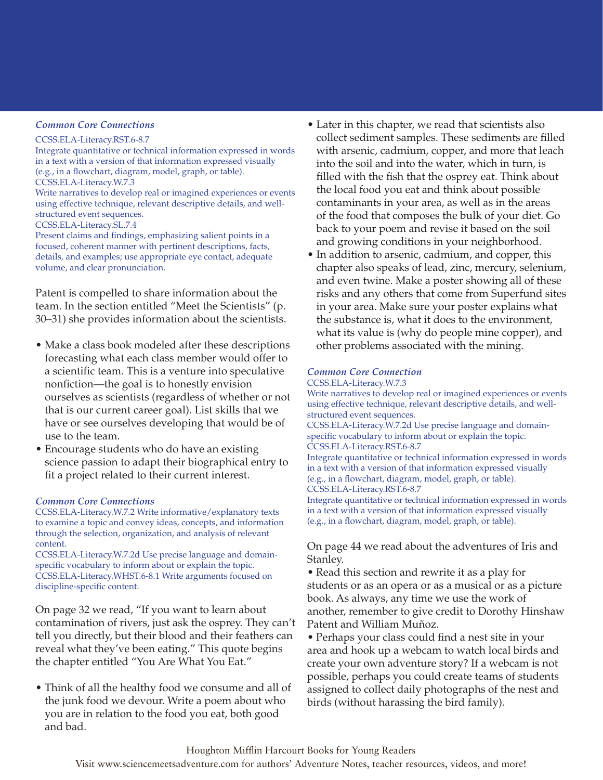#### *Common Core Connections*

#### CCSS.ELA-Literacy.RST.6-8.7

Integrate quantitative or technical information expressed in words in a text with a version of that information expressed visually (e.g., in a flowchart, diagram, model, graph, or table). CCSS.ELA-Literacy.W.7.3 Write narratives to develop real or imagined experiences or events using effective technique, relevant descriptive details, and wellstructured event sequences. CCSS.ELA-Literacy.SL.7.4

Present claims and findings, emphasizing salient points in a focused, coherent manner with pertinent descriptions, facts, details, and examples; use appropriate eye contact, adequate volume, and clear pronunciation.

Patent is compelled to share information about the team. In the section entitled "Meet the Scientists" (p. 30–31) she provides information about the scientists.

- Make a class book modeled after these descriptions forecasting what each class member would offer to a scientific team. This is a venture into speculative nonfiction—the goal is to honestly envision ourselves as scientists (regardless of whether or not that is our current career goal). List skills that we have or see ourselves developing that would be of use to the team.
- Encourage students who do have an existing science passion to adapt their biographical entry to fit a project related to their current interest.

#### *Common Core Connections*

CCSS.ELA-Literacy.W.7.2 Write informative/explanatory texts to examine a topic and convey ideas, concepts, and information through the selection, organization, and analysis of relevant content.

CCSS.ELA-Literacy.W.7.2d Use precise language and domainspecific vocabulary to inform about or explain the topic. CCSS.ELA-Literacy.WHST.6-8.1 Write arguments focused on discipline-specific content.

On page 32 we read, "If you want to learn about contamination of rivers, just ask the osprey. They can't tell you directly, but their blood and their feathers can reveal what they've been eating." This quote begins the chapter entitled "You Are What You Eat."

• Think of all the healthy food we consume and all of the junk food we devour. Write a poem about who you are in relation to the food you eat, both good and bad.

- Later in this chapter, we read that scientists also collect sediment samples. These sediments are filled with arsenic, cadmium, copper, and more that leach into the soil and into the water, which in turn, is filled with the fish that the osprey eat. Think about the local food you eat and think about possible contaminants in your area, as well as in the areas of the food that composes the bulk of your diet. Go back to your poem and revise it based on the soil and growing conditions in your neighborhood.
- In addition to arsenic, cadmium, and copper, this chapter also speaks of lead, zinc, mercury, selenium, and even twine. Make a poster showing all of these risks and any others that come from Superfund sites in your area. Make sure your poster explains what the substance is, what it does to the environment, what its value is (why do people mine copper), and other problems associated with the mining.

# *Common Core Connection*

CCSS.ELA-Literacy.W.7.3

Write narratives to develop real or imagined experiences or events using effective technique, relevant descriptive details, and wellstructured event sequences. CCSS.ELA-Literacy.W.7.2d Use precise language and domainspecific vocabulary to inform about or explain the topic. CCSS.ELA-Literacy.RST.6-8.7 Integrate quantitative or technical information expressed in words in a text with a version of that information expressed visually

(e.g., in a flowchart, diagram, model, graph, or table). CCSS.ELA-Literacy.RST.6-8.7

Integrate quantitative or technical information expressed in words in a text with a version of that information expressed visually (e.g., in a flowchart, diagram, model, graph, or table).

On page 44 we read about the adventures of Iris and Stanley.

• Read this section and rewrite it as a play for students or as an opera or as a musical or as a picture book. As always, any time we use the work of another, remember to give credit to Dorothy Hinshaw Patent and William Muñoz.

• Perhaps your class could find a nest site in your area and hook up a webcam to watch local birds and create your own adventure story? If a webcam is not possible, perhaps you could create teams of students assigned to collect daily photographs of the nest and birds (without harassing the bird family).